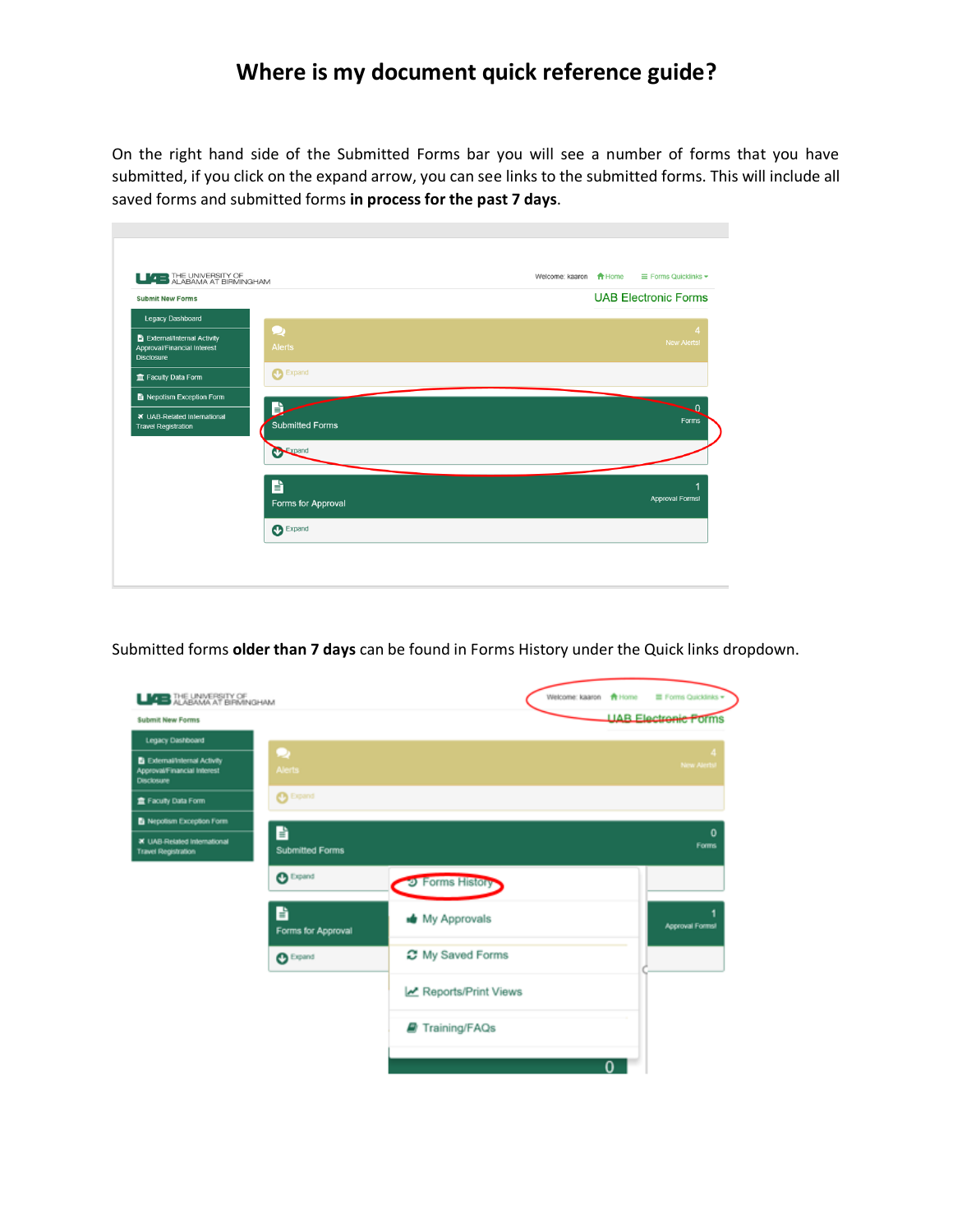## **Where is my document quick reference guide?**

On the right hand side of the Submitted Forms bar you will see a number of forms that you have submitted, if you click on the expand arrow, you can see links to the submitted forms. This will include all saved forms and submitted forms **in process for the past 7 days**.

m,

| <b>LIZE</b> THE UNIVERSITY OF<br><b>Submit New Forms</b>                          |                             | <b>UAB Electronic Forms</b> |
|-----------------------------------------------------------------------------------|-----------------------------|-----------------------------|
|                                                                                   |                             |                             |
| Legacy Dashboard                                                                  | $\cup$                      |                             |
| Ei External/Internal Activity<br>Approval/Financial Interest<br><b>Disclosure</b> | <b>Alerts</b>               | <b>New Alerts!</b>          |
| Faculty Data Form                                                                 | <b>Co</b> Expand            |                             |
| Nepotism Exception Form                                                           |                             |                             |
| ₹ UAB-Related International<br><b>Travel Registration</b>                         | B<br><b>Submitted Forms</b> | Forms                       |
|                                                                                   | Expand                      |                             |
|                                                                                   | B                           |                             |
|                                                                                   | Forms for Approval          | Approval Forms!             |
|                                                                                   | Expand                      |                             |

Submitted forms **older than 7 days** can be found in Forms History under the Quick links dropdown.

| <b>LICE</b> THE UNIVERSITY OF                                                    |                             |                     | Welcome: kaaron + + Home |   | Forms Quicklinks -          |
|----------------------------------------------------------------------------------|-----------------------------|---------------------|--------------------------|---|-----------------------------|
| <b>Submit New Forms</b>                                                          |                             |                     |                          |   | <b>UAB Electronic Porms</b> |
| Legacy Dashboard                                                                 |                             |                     |                          |   |                             |
| <b>B</b> External/Internal Activity<br>Approval/Financial Interest<br>Disclosure | o<br><b>Alerts</b>          |                     |                          |   | New Alerts                  |
| <b>宣 Faculty Data Form</b>                                                       | <b>O</b> Expand             |                     |                          |   |                             |
| Nepotism Exception Form                                                          |                             |                     |                          |   |                             |
| <b>X</b> UAB-Related International<br><b>Travel Registration</b>                 | B<br><b>Submitted Forms</b> |                     |                          |   | $\mathbf 0$<br><b>Forms</b> |
|                                                                                  | $\mathbf{O}$ Expand         | 2 Forms History     |                          |   |                             |
|                                                                                  | B<br>Forms for Approval     | My Approvals        |                          |   | Approval Forms!             |
|                                                                                  | $O$ Expand                  | C My Saved Forms    |                          |   |                             |
|                                                                                  |                             | Reports/Print Views |                          |   |                             |
|                                                                                  |                             | Training/FAQs       |                          |   |                             |
|                                                                                  |                             |                     |                          | 0 |                             |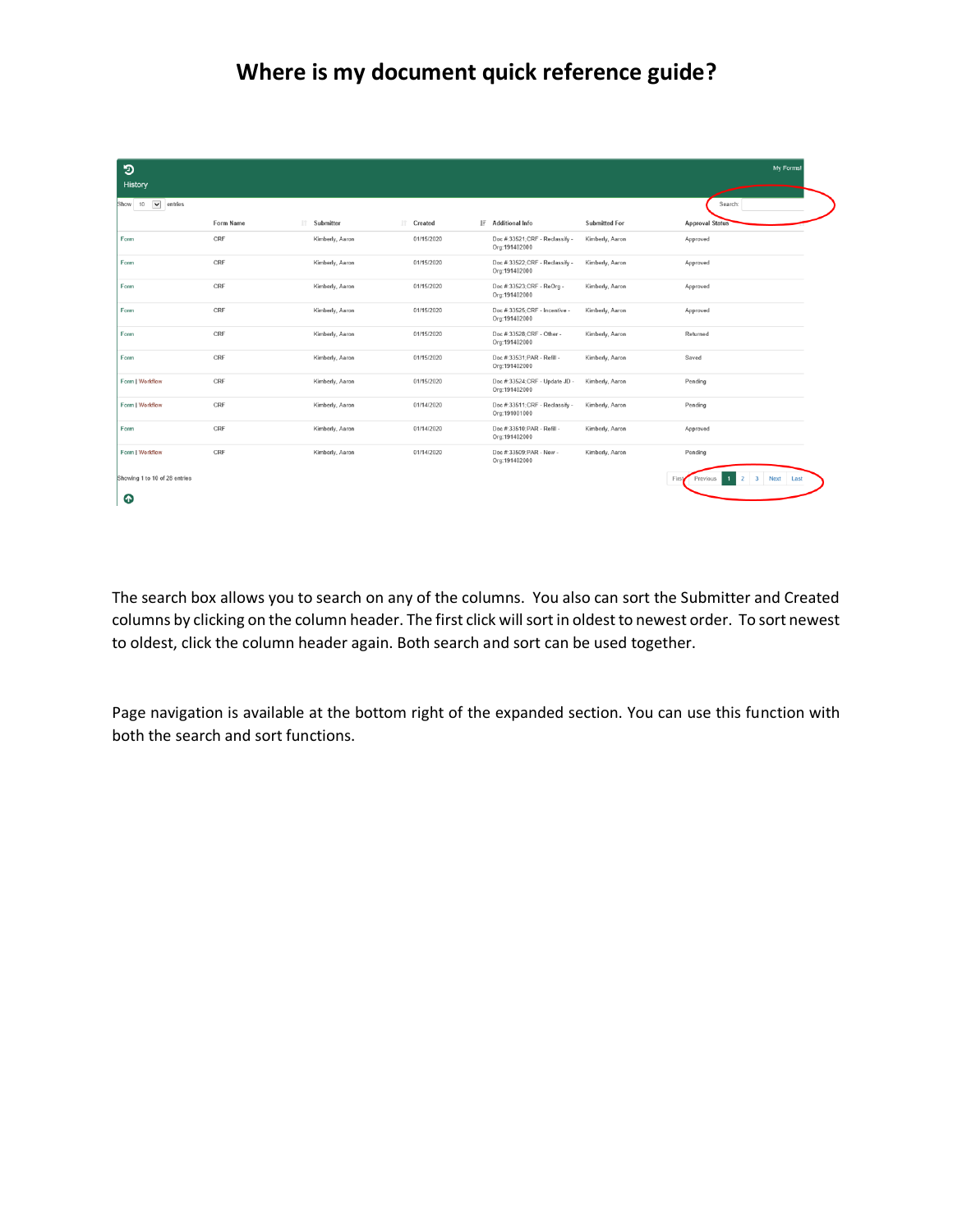## **Where is my document quick reference guide?**

| ಾ<br><b>History</b>               |           |                 |            |                                                 |                      | My Forms!                          |
|-----------------------------------|-----------|-----------------|------------|-------------------------------------------------|----------------------|------------------------------------|
| $\check{ }$<br>entries<br>Show 10 |           |                 |            |                                                 |                      | Search:                            |
|                                   | Form Name | Submitter<br>11 | IT Created | IF Additional Info                              | <b>Submitted For</b> | <b>Approval Status</b>             |
| Form                              | CRF       | Kimberly, Aaron | 01/15/2020 | Doc #:33521;CRF - Reclassify -<br>Org:191402000 | Kimberly, Aaron      | Approved                           |
| Form                              | CRF       | Kimberly, Aaron | 01/15/2020 | Doc #:33522;CRF - Reclassify -<br>Org:191402000 | Kimberly, Aaron      | Approved                           |
| Form                              | CRF       | Kimberly, Aaron | 01/15/2020 | Doc #:33523:CRF - ReOrg -<br>Org:191402000      | Kimberly, Aaron      | Approved                           |
| Form                              | CRF       | Kimberly, Aaron | 01/15/2020 | Doc #:33525:CRF - Incentive -<br>Org:191402000  | Kimberly, Aaron      | Approved                           |
| Form                              | CRF       | Kimberly, Aaron | 01/15/2020 | Doc #:33528;CRF - Other -<br>Org:191402000      | Kimberly, Aaron      | Returned                           |
| Form                              | CRF       | Kimberly, Aaron | 01/15/2020 | Doc #:33531:PAR - Refill -<br>Org:191402000     | Kimberly, Aaron      | Saved                              |
| Form   Workflow                   | CRF       | Kimberly, Aaron | 01/15/2020 | Doc #:33524;CRF - Update JD -<br>Org:191402000  | Kimberly, Aaron      | Pending                            |
| Form   Workflow                   | CRF       | Kimberly, Aaron | 01/14/2020 | Doc #:33511:CRF - Reclassify -<br>Org:191001000 | Kimberly, Aaron      | Pending                            |
| Form                              | CRF       | Kimberly, Aaron | 01/14/2020 | Doc #:33510:PAR - Refill -<br>Org:191402000     | Kimberly, Aaron      | Approved                           |
| Form   Workflow                   | CRF       | Kimberly, Aaron | 01/14/2020 | Doc #:33509;PAR - New -<br>Org:191402000        | Kimberly, Aaron      | Pending                            |
| Showing 1 to 10 of 28 entries     |           |                 |            |                                                 |                      | 2 3 Next Last<br>First<br>Previous |
| ⊕                                 |           |                 |            |                                                 |                      |                                    |

The search box allows you to search on any of the columns. You also can sort the Submitter and Created columns by clicking on the column header. The first click will sort in oldest to newest order. To sort newest to oldest, click the column header again. Both search and sort can be used together.

Page navigation is available at the bottom right of the expanded section. You can use this function with both the search and sort functions.